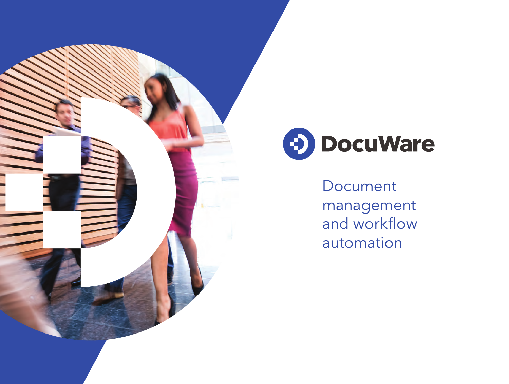



Document management and workflow automation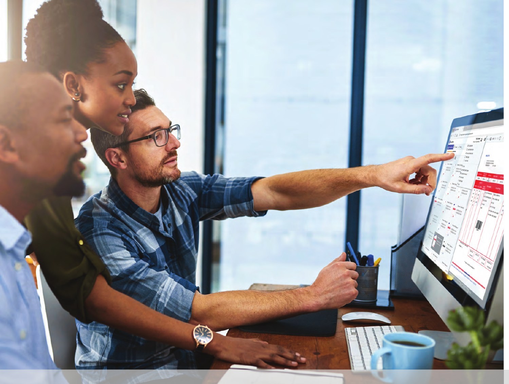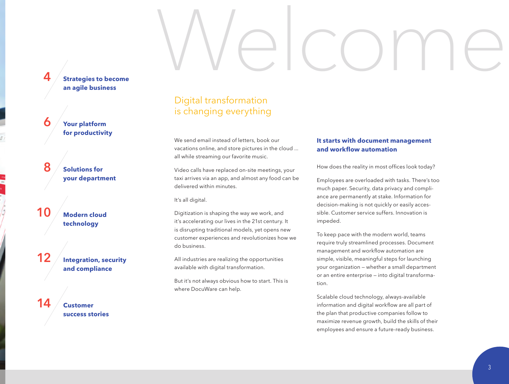### **4 Strategies to become an agile business**

**6 Your platform for productivity**

**8 Solutions for your department**

**10 Modern cloud technology**

**12 Integration, security and compliance**

**14 Customer success stories**

# Digital transformation is changing everything

We send email instead of letters, book our vacations online, and store pictures in the cloud ... all while streaming our favorite music.

Video calls have replaced on-site meetings, your taxi arrives via an app, and almost any food can be delivered within minutes.

It's all digital.

Digitization is shaping the way we work, and it's accelerating our lives in the 21st century. It is disrupting traditional models, yet opens new customer experiences and revolutionizes how we do business.

All industries are realizing the opportunities available with digital transformation.

But it's not always obvious how to start. This is where DocuWare can help.

#### **It starts with document management**  and workflow automation

Welcome

How does the reality in most offices look today?

Employees are overloaded with tasks. There's too much paper. Security, data privacy and compli ance are permanently at stake. Information for decision-making is not quickly or easily accessible. Customer service suffers. Innovation is impeded.

To keep pace with the modern world, teams require truly streamlined processes. Document management and workflow automation are simple, visible, meaningful steps for launching your organization - whether a small department or an entire enterprise – into digital transformation.

Scalable cloud technology, always-available information and digital workflow are all part of the plan that productive companies follow to maximize revenue growth, build the skills of their employees and ensure a future-ready business.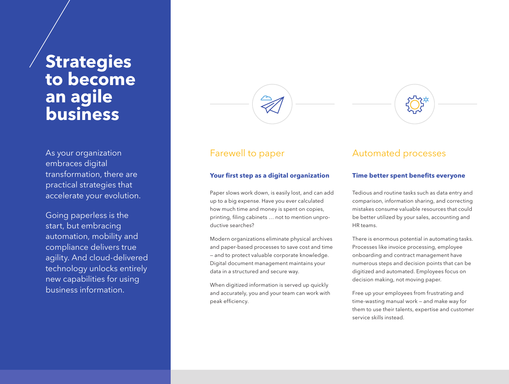# **Strategies to become an agile business**

As your organization embraces digital transformation, there are practical strategies that accelerate your evolution.

Going paperless is the start, but embracing automation, mobility and compliance delivers true agility. And cloud-delivered technology unlocks entirely new capabilities for using business information.





### Farewell to paper

#### **Your first step as a digital organization**

Paper slows work down, is easily lost, and can add up to a big expense. Have you ever calculated how much time and money is spent on copies, printing, filing cabinets ... not to mention unproductive searches?

Modern organizations eliminate physical archives and paper-based processes to save cost and time - and to protect valuable corporate knowledge. Digital document management maintains your data in a structured and secure way.

When digitized information is served up quickly and accurately, you and your team can work with peak efficiency.

### Automated processes

#### **Time better spent benefits everyone**

Tedious and routine tasks such as data entry and comparison, information sharing, and correcting mistakes consume valuable resources that could be better utilized by your sales, accounting and HR teams.

There is enormous potential in automating tasks. Processes like invoice processing, employee onboarding and contract management have numerous steps and decision points that can be digitized and automated. Employees focus on decision making, not moving paper.

Free up your employees from frustrating and time-wasting manual work  $-$  and make way for them to use their talents, expertise and customer service skills instead.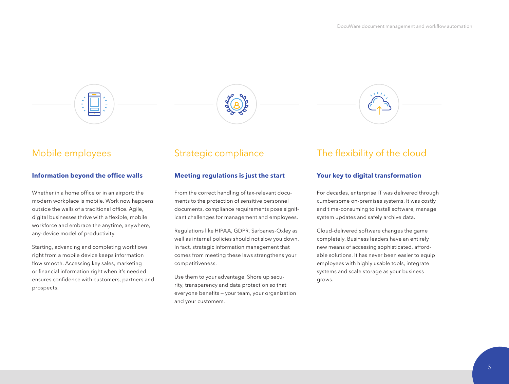



# Mobile employees

#### **Information beyond the office walls**

Whether in a home office or in an airport: the modern workplace is mobile. Work now happens outside the walls of a traditional office. Agile, digital businesses thrive with a flexible, mobile workforce and embrace the anytime, anywhere, any-device model of productivity.

Starting, advancing and completing workflows right from a mobile device keeps information flow smooth. Accessing key sales, marketing or financial information right when it's needed ensures confidence with customers, partners and prospects.

# Strategic compliance

#### **Meeting regulations is just the start**

From the correct handling of tax-relevant documents to the protection of sensitive personnel documents, compliance requirements pose significant challenges for management and employees.

Regulations like HIPAA, GDPR, Sarbanes-Oxley as well as internal policies should not slow you down. In fact, strategic information management that comes from meeting these laws strengthens your competitiveness.

Use them to your advantage. Shore up security, transparency and data protection so that everyone benefits - your team, your organization and your customers.

# The flexibility of the cloud

#### **Your key to digital transformation**

For decades, enterprise IT was delivered through cumbersome on-premises systems. It was costly and time-consuming to install software, manage system updates and safely archive data.

Cloud-delivered software changes the game completely. Business leaders have an entirely new means of accessing sophisticated, affordable solutions. It has never been easier to equip employees with highly usable tools, integrate systems and scale storage as your business grows.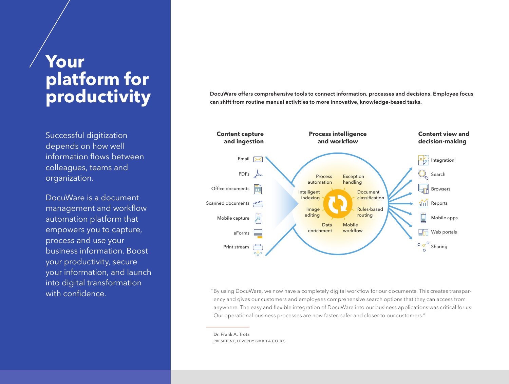# **Your platform for productivity**

Successful digitization depends on how well information flows between colleagues, teams and organization.

DocuWare is a document management and workflow automation platform that empowers you to capture, process and use your business information. Boost your productivity, secure your information, and launch into digital transformation with confidence.

DocuWare offers comprehensive tools to connect information, processes and decisions. Employee focus can shift from routine manual activities to more innovative, knowledge-based tasks.



" By using DocuWare, we now have a completely digital workflow for our documents. This creates transparency and gives our customers and employees comprehensive search options that they can access from anywhere. The easy and flexible integration of DocuWare into our business applications was critical for us. Our operational business processes are now faster, safer and closer to our customers."

Dr. Frank A. Trotz PRESIDENT, LEVERDY GMBH & CO. KG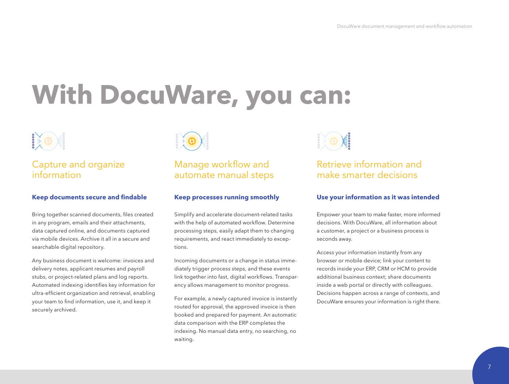# **With DocuWare, you can:**

# $\bullet$

# Capture and organize information

#### **Keep documents secure and findable**

Bring together scanned documents, files created in any program, emails and their attachments, data captured online, and documents captured via mobile devices. Archive it all in a secure and searchable digital repository.

Any business document is welcome: invoices and delivery notes, applicant resumes and payroll stubs, or project-related plans and log reports. Automated indexing identifies key information for ultra-efficient organization and retrieval, enabling your team to find information, use it, and keep it securely archived.



# Manage workflow and automate manual steps

#### **Keep processes running smoothly**

Simplify and accelerate document-related tasks with the help of automated workflow. Determine processing steps, easily adapt them to changing requirements, and react immediately to exceptions.

Incoming documents or a change in status immediately trigger process steps, and these events link together into fast, digital workflows. Transparency allows management to monitor progress.

For example, a newly captured invoice is instantly routed for approval, the approved invoice is then booked and prepared for payment. An automatic data comparison with the ERP completes the indexing. No manual data entry, no searching, no waiting.



# Retrieve information and make smarter decisions

#### **Use your information as it was intended**

Empower your team to make faster, more informed decisions. With DocuWare, all information about a customer, a project or a business process is seconds away.

Access your information instantly from any browser or mobile device; link your content to records inside your ERP, CRM or HCM to provide additional business context; share documents inside a web portal or directly with colleagues. Decisions happen across a range of contexts, and DocuWare ensures your information is right there.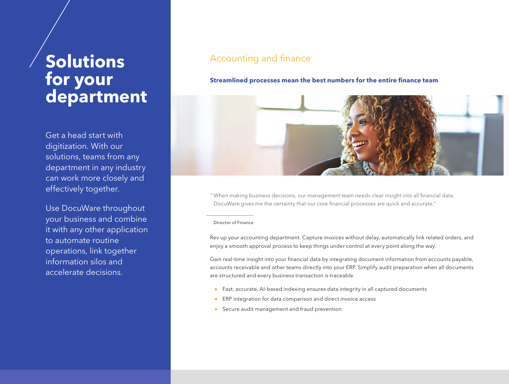# / Solutions for your department

Get a head start with digitization. With our solutions, teams from any department in any industry can work more closely and effectively together.

Use DocuWare throughout your business and combine it with any other application to automate routine operations, link together information silos and accelerate decisions.

# **Accounting and finance**

#### Streamlined processes mean the best numbers for the entire finance team



"When making business decisions, our management team needs clear insight into all financial data. DocuWare gives me the certainty that our core financial processes are quick and accurate."

#### Director of Finance

Rev up your accounting department. Capture invoices without delay, automatically link related orders, and enjoy a smooth approval process to keep things under control at every point along the way.

Gain real-time insight into your financial data by integrating document information from accounts payable, accounts receivable and other teams directly into your ERP. Simplify audit preparation when all documents are structured and every business transaction is traceable.

- Fast, accurate, AI-based indexing ensures data integrity in all captured documents
- ERP integration for data comparison and direct invoice access  $\bullet$
- Secure audit management and fraud prevention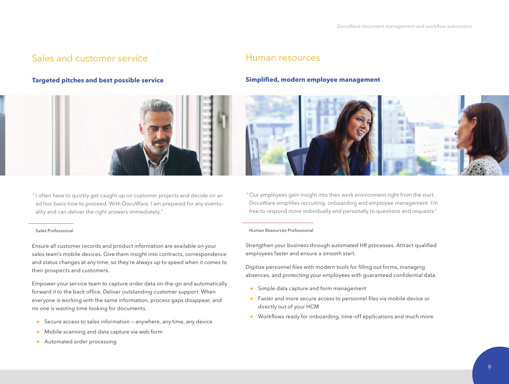# Sales and customer service

#### **Targeted pitches and best possible service**

### Human resources

#### Simplified, modern employee management



"I often have to quickly get caught up on customer projects and decide on an ad hoc basis how to proceed. With DocuWare, I am prepared for any eventuality and can deliver the right answers immediately."

#### Sales Professional

Ensure all customer records and product information are available on your sales team's mobile devices. Give them insight into contracts, correspondence and status changes at any time, so they're always up to speed when it comes to their prospects and customers.

Empower your service team to capture order data on-the-go and automatically forward it to the back office. Deliver outstanding customer support. When everyone is working with the same information, process gaps disappear, and no one is wasting time looking for documents.

- Secure access to sales information anywhere, any time, any device  $\bullet$
- Mobile scanning and data capture via web form  $\bullet$
- Automated order processing

"Our employees gain insight into their work environment right from the start. DocuWare simplifies recruiting, onboarding and employee management. I'm free to respond more individually and personally to questions and requests."

#### Human Resources Professional

Strengthen your business through automated HR processes. Attract qualified employees faster and ensure a smooth start.

Digitize personnel files with modern tools for filling out forms, managing absences, and protecting your employees with quaranteed confidential data.

- Simple data capture and form management
- Faster and more secure access to personnel files via mobile device or directly out of your HCM
- Workflows ready for onboarding, time-off applications and much more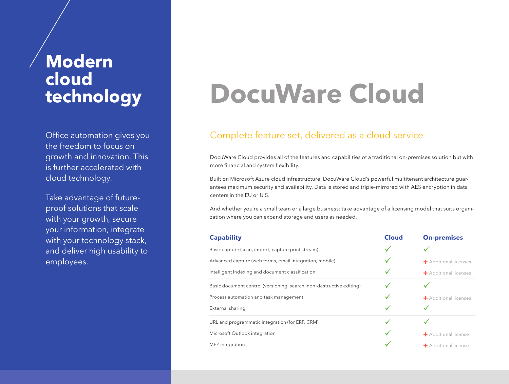# **Modern cloud technology**

Office automation gives you the freedom to focus on growth and innovation. This is further accelerated with cloud technology.

Take advantage of futureproof solutions that scale with your growth, secure your information, integrate with your technology stack, and deliver high usability to employees.

# **DocuWare Cloud**

# Complete feature set, delivered as a cloud service

DocuWare Cloud provides all of the features and capabilities of a traditional on-premises solution but with more financial and system flexibility.

Built on Microsoft Azure cloud infrastructure, DocuWare Cloud's powerful multitenant architecture quarantees maximum security and availability. Data is stored and triple-mirrored with AES encryption in data centers in the EU or U.S.

And whether you're a small team or a large business: take advantage of a licensing model that suits organization where you can expand storage and users as needed.

| <b>Capability</b>                                                    | <b>Cloud</b> | <b>On-premises</b>         |
|----------------------------------------------------------------------|--------------|----------------------------|
| Basic capture (scan, import, capture print stream)                   |              |                            |
| Advanced capture (web forms, email integration, mobile)              |              | $\div$ Additional licenses |
| Intelligent Indexing and document classification                     |              | $\div$ Additional licenses |
| Basic document control (versioning, search, non-destructive editing) |              |                            |
| Process automation and task management                               |              | $\div$ Additional licenses |
| External sharing                                                     |              |                            |
| URL and programmatic integration (for ERP, CRM)                      |              |                            |
| Microsoft Outlook integration                                        |              | + Additional license       |
| MFP integration                                                      |              | $\div$ Additional license  |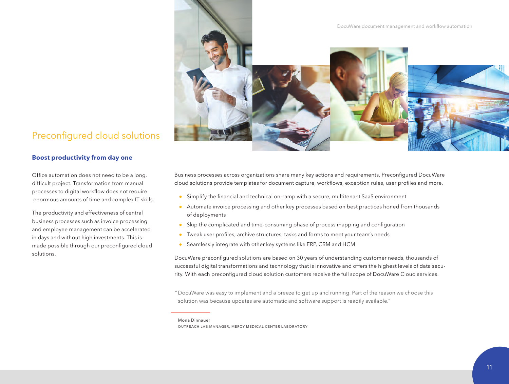

# Preconfigured cloud solutions

#### **Boost productivity from day one**

Office automation does not need to be a long. difficult project. Transformation from manual processes to digital workflow does not require enormous amounts of time and complex IT skills.

The productivity and effectiveness of central business processes such as invoice processing and employee management can be accelerated in days and without high investments. This is made possible through our preconfigured cloud solutions.

Business processes across organizations share many key actions and requirements. Preconfigured DocuWare cloud solutions provide templates for document capture, workflows, exception rules, user profiles and more.

- Simplify the financial and technical on-ramp with a secure, multitenant SaaS environment
- Automate invoice processing and other key processes based on best practices honed from thousands of deployments
- Skip the complicated and time-consuming phase of process mapping and configuration
- Tweak user profiles, archive structures, tasks and forms to meet your team's needs
- Seamlessly integrate with other key systems like ERP, CRM and HCM  $\bullet$

DocuWare preconfigured solutions are based on 30 years of understanding customer needs, thousands of successful digital transformations and technology that is innovative and offers the highest levels of data security. With each preconfigured cloud solution customers receive the full scope of DocuWare Cloud services.

"DocuWare was easy to implement and a breeze to get up and running. Part of the reason we choose this solution was because updates are automatic and software support is readily available."

Mona Dinnauer

OUTREACH LAB MANAGER, MERCY MEDICAL CENTER LABORATORY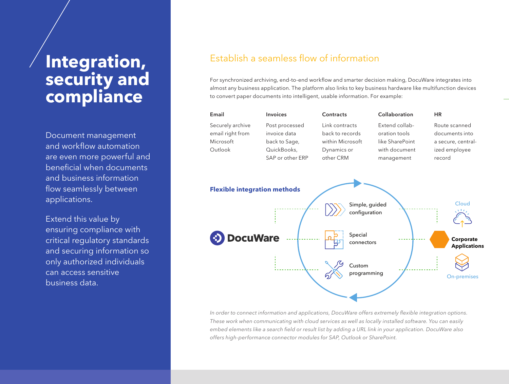# **Integration, security and compliance**

Document management and workflow automation are even more powerful and beneficial when documents and business information flow seamlessly between applications.

Extend this value by ensuring compliance with critical requlatory standards and securing information so only authorized individuals can access sensitive business data.

# Establish a seamless flow of information

For synchronized archiving, end-to-end workflow and smarter decision making, DocuWare integrates into almost any business application. The platform also links to key business hardware like multifunction devices to convert paper documents into intelligent, usable information. For example:



In order to connect information and applications, DocuWare offers extremely flexible integration options. These work when communicating with cloud services as well as locally installed software. You can easily embed elements like a search field or result list by adding a URL link in your application. DocuWare also offers high-performance connector modules for SAP, Outlook or SharePoint.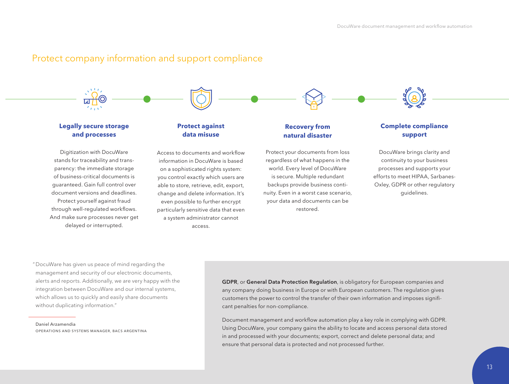### Protect company information and support compliance



parency: the immediate storage of business-critical documents is quaranteed. Gain full control over document versions and deadlines. Protect yourself against fraud through well-regulated workflows. And make sure processes never get delayed or interrupted.

you control exactly which users are able to store, retrieve, edit, export, change and delete information. It's even possible to further encrypt particularly sensitive data that even a system administrator cannot access.

is secure. Multiple redundant backups provide business conti

nuity. Even in a worst case scenario, your data and documents can be restored.

efforts to meet HIPAA, Sarbanes-Oxley, GDPR or other regulatory quidelines.

"DocuWare has given us peace of mind regarding the management and security of our electronic documents, alerts and reports. Additionally, we are very happy with the integration between DocuWare and our internal systems, which allows us to quickly and easily share documents without duplicating information."

Daniel Arzamendia OPERATIONS AND SYSTEMS MANAGER, BACS ARGENTINA GDPR, or General Data Protection Regulation, is obligatory for European companies and any company doing business in Europe or with European customers. The regulation gives customers the power to control the transfer of their own information and imposes significant penalties for non-compliance.

Document management and workflow automation play a key role in complying with GDPR. Using DocuWare, your company gains the ability to locate and access personal data stored in and processed with your documents; export, correct and delete personal data; and ensure that personal data is protected and not processed further.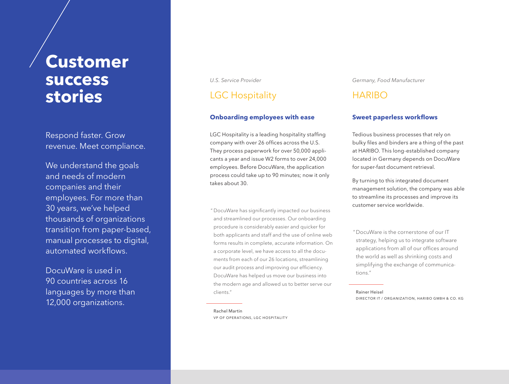# **Customer success stories**

Respond faster. Grow revenue. Meet compliance.

We understand the goals and needs of modern companies and their employees. For more than 30 years, we've helped thousands of organizations transition from paper-based, manual processes to digital, automated workflows.

DocuWare is used in 90 countries across 16 languages by more than 12,000 organizations.

115 Service Provider

### LGC Hospitality

#### **Onboarding employees with ease**

LGC Hospitality is a leading hospitality staffing company with over 26 offices across the U.S. They process paperwork for over 50,000 appli cants a year and issue W2 forms to over 24,000 employees. Before DocuWare, the application process could take up to 90 minutes; now it only takes about 30.

" DocuWare has significantly impacted our business and streamlined our processes. Our onboarding procedure is considerably easier and quicker for both applicants and staff and the use of online web forms results in complete, accurate information. On a corporate level, we have access to all the documents from each of our 26 locations, streamlining our audit process and improving our efficiency. DocuWare has helped us move our business into the modern age and allowed us to better serve our clients."

Rachel Martin VP OF OPERATIONS, LGC HOSPITALITY *Germany, Food Manufacturer*

### HARIBO

#### **Sweet paperless workflows**

Tedious business processes that rely on bulky files and binders are a thing of the past at HARIBO. This long-established company located in Germany depends on DocuWare for super-fast document retrieval.

By turning to this integrated document management solution, the company was able to streamline its processes and improve its customer service worldwide.

" DocuWare is the cornerstone of our IT strategy, helping us to integrate software applications from all of our offices around the world as well as shrinking costs and simplifying the exchange of communications."

Rainer Heisel DIRECTOR IT / ORGANIZATION, HARIBO GMBH & CO. KG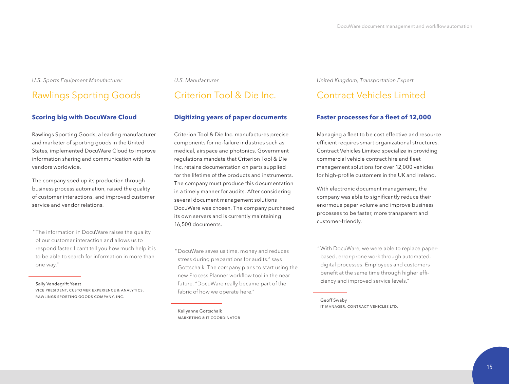# U.S. Sports Equipment Manufacturer

# Rawlings Sporting Goods

#### **Scoring big with DocuWare Cloud**

Rawlings Sporting Goods, a leading manufacturer and marketer of sporting goods in the United States, implemented DocuWare Cloud to improve information sharing and communication with its vendors worldwide.

The company sped up its production through business process automation, raised the quality of customer interactions, and improved customer service and vendor relations.

"The information in DocuWare raises the quality of our customer interaction and allows us to respond faster. I can't tell you how much help it is to be able to search for information in more than one way."

Sally Vandegrift Yeast VICE PRESIDENT, CUSTOMER EXPERIENCE & ANALYTICS, RAWLINGS SPORTING GOODS COMPANY, INC.

#### U.S. Manufacturer

Criterion Tool & Die Inc.

#### **Digitizing vears of paper documents**

Criterion Tool & Die Inc. manufactures precise components for no-failure industries such as medical, airspace and photonics. Government requlations mandate that Criterion Tool & Die Inc. retains documentation on parts supplied for the lifetime of the products and instruments. The company must produce this documentation in a timely manner for audits. After considering several document management solutions DocuWare was chosen. The company purchased its own servers and is currently maintaining 16.500 documents.

 " DocuWare saves us time, money and reduces stress during preparations for audits." says Gottschalk. The company plans to start using the new Process Planner workflow tool in the near future. "DocuWare really became part of the fabric of how we operate here."

Kellyanne Gottschalk MARKETING & IT COORDINATOR United Kingdom, Transportation Expert

# Contract Vehicles Limited

#### **Faster processes for a fleet of 12,000**

Managing a fleet to be cost effective and resource efficient requires smart organizational structures. Contract Vehicles Limited specialize in providing commercial vehicle contract hire and fleet management solutions for over 12,000 vehicles for high-profile customers in the UK and Ireland.

With electronic document management, the company was able to significantly reduce their enormous paper volume and improve business processes to be faster, more transparent and customer-friendly.

"With DocuWare, we were able to replace paperbased, error-prone work through automated, digital processes. Employees and customers benefit at the same time through higher efficiency and improved service levels."

Geoff Swaby IT-MANAGER, CONTRACT VEHICLES LTD.